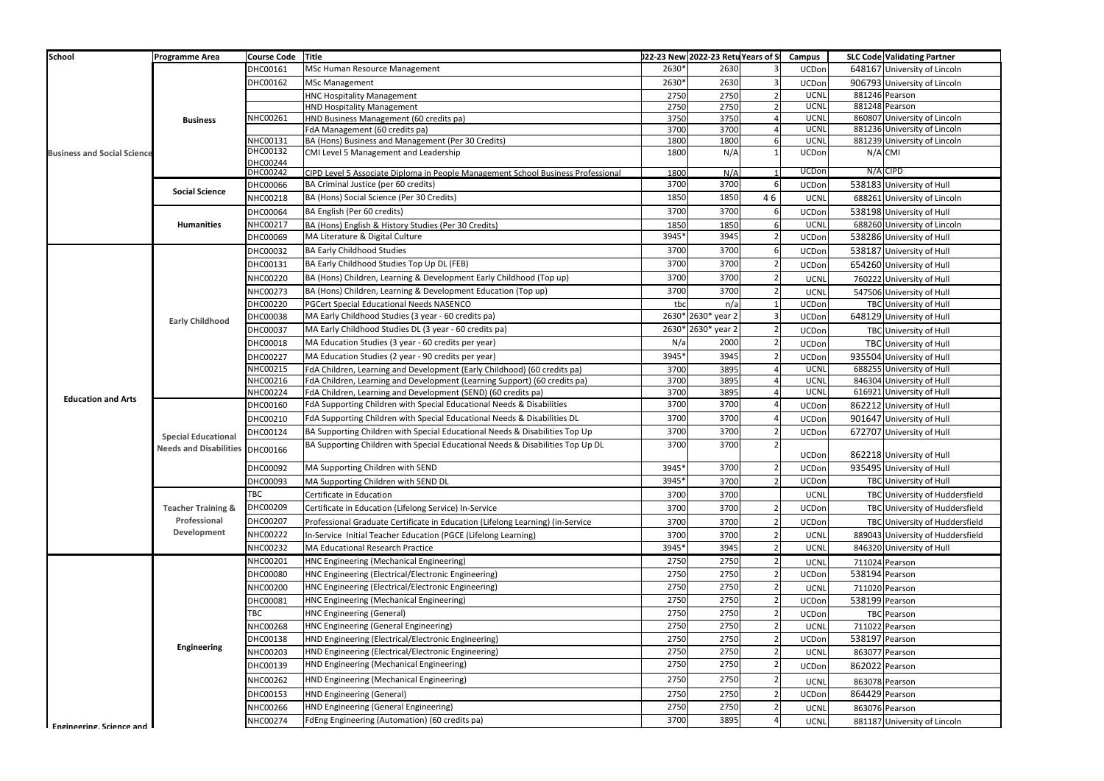| <b>School</b>                      | <b>Programme Area</b>                                                | Course Code Title    |                                                                                  |       | 022-23 New 2022-23 Retu Years of S |    | <b>Campus</b> |                | <b>SLC Code Validating Partner</b> |
|------------------------------------|----------------------------------------------------------------------|----------------------|----------------------------------------------------------------------------------|-------|------------------------------------|----|---------------|----------------|------------------------------------|
|                                    |                                                                      | DHC00161             | MSc Human Resource Management                                                    | 2630* | 2630                               |    | UCDon         |                | 648167 University of Lincoln       |
|                                    |                                                                      | DHC00162             | <b>MSc Management</b>                                                            | 2630* | 2630                               |    | UCDon         |                | 906793 University of Lincoln       |
|                                    |                                                                      |                      | <b>HNC Hospitality Management</b>                                                | 2750  | 2750                               |    | <b>UCNL</b>   |                | 881246 Pearson                     |
|                                    |                                                                      |                      | <b>HND Hospitality Management</b>                                                | 2750  | 2750                               |    | <b>UCNL</b>   |                | 881248 Pearson                     |
|                                    | <b>Business</b>                                                      | NHC00261             | HND Business Management (60 credits pa)                                          | 3750  | 3750                               |    | <b>UCNL</b>   |                | 860807 University of Lincoln       |
| <b>Business and Social Science</b> | <b>Social Science</b>                                                |                      | FdA Management (60 credits pa)                                                   | 3700  | 3700                               |    | <b>UCNL</b>   |                | 881236 University of Lincoln       |
|                                    |                                                                      | NHC00131             | BA (Hons) Business and Management (Per 30 Credits)                               | 1800  | 1800                               |    | <b>UCNL</b>   |                | 881239 University of Lincoln       |
|                                    |                                                                      | DHC00132<br>DHC00244 | CMI Level 5 Management and Leadership                                            | 1800  | N/A                                |    | UCDon         | N/A CMI        |                                    |
|                                    |                                                                      | DHC00242             | CIPD Level 5 Associate Diploma in People Management School Business Professional | 1800  | N/A                                |    | <b>UCDon</b>  |                | N/A CIPD                           |
|                                    |                                                                      | DHC00066             | BA Criminal Justice (per 60 credits)                                             | 3700  | 3700                               | 6  | UCDon         |                | 538183 University of Hull          |
|                                    |                                                                      | NHC00218             | BA (Hons) Social Science (Per 30 Credits)                                        | 1850  | 1850                               | 46 | UCNL          |                | 688261 University of Lincoln       |
|                                    |                                                                      | DHC00064             | BA English (Per 60 credits)                                                      | 3700  | 3700                               | 6  | UCDon         |                | 538198 University of Hull          |
|                                    | <b>Humanities</b>                                                    | NHC00217             | BA (Hons) English & History Studies (Per 30 Credits)                             | 1850  | 1850                               |    | <b>UCNI</b>   |                | 688260 University of Lincoln       |
|                                    |                                                                      | DHC00069             | MA Literature & Digital Culture                                                  | 3945* | 3945                               |    | UCDon         |                | 538286 University of Hull          |
|                                    |                                                                      |                      | <b>BA Early Childhood Studies</b>                                                | 3700  | 3700                               |    |               |                | 538187 University of Hull          |
|                                    |                                                                      | DHC00032             |                                                                                  |       |                                    |    | UCDon         |                |                                    |
|                                    |                                                                      | DHC00131             | BA Early Childhood Studies Top Up DL (FEB)                                       | 3700  | 3700                               |    | UCDon         |                | 654260 University of Hull          |
|                                    |                                                                      | NHC00220             | BA (Hons) Children, Learning & Development Early Childhood (Top up)              | 3700  | 3700                               |    | <b>UCNL</b>   |                | 760222 University of Hull          |
|                                    |                                                                      | NHC00273             | BA (Hons) Children, Learning & Development Education (Top up)                    | 3700  | 3700                               |    | <b>UCNL</b>   |                | 547506 University of Hull          |
| <b>Education and Arts</b>          | <b>Early Childhood</b>                                               | DHC00220             | PGCert Special Educational Needs NASENCO                                         | tbc   | n/a                                |    | UCDon         |                | TBC University of Hull             |
|                                    |                                                                      | DHC00038             | MA Early Childhood Studies (3 year - 60 credits pa)                              |       | 2630* 2630* year 2                 |    | UCDon         |                | 648129 University of Hull          |
|                                    |                                                                      | DHC00037             | MA Early Childhood Studies DL (3 year - 60 credits pa)                           |       | 2630* 2630* year 2                 |    | UCDon         |                | TBC University of Hull             |
|                                    |                                                                      | DHC00018             | MA Education Studies (3 year - 60 credits per year)                              | N/a   | 2000                               |    | UCDon         |                | TBC University of Hull             |
|                                    |                                                                      | DHC00227             | MA Education Studies (2 year - 90 credits per year)                              | 3945* | 3945                               |    | UCDon         |                | 935504 University of Hull          |
|                                    |                                                                      | NHC00215             | FdA Children, Learning and Development (Early Childhood) (60 credits pa)         | 3700  | 3895                               |    | <b>UCNI</b>   |                | 688255 University of Hull          |
|                                    |                                                                      | NHC00216             | FdA Children, Learning and Development (Learning Support) (60 credits pa)        | 3700  | 3895                               |    | UCNI          |                | 846304 University of Hull          |
|                                    |                                                                      | NHC00224             | FdA Children, Learning and Development (SEND) (60 credits pa)                    | 3700  | 3895                               |    | <b>UCNL</b>   |                | 616921 University of Hull          |
|                                    | <b>Special Educational</b><br><b>Needs and Disabilities DHC00166</b> | DHC00160             | FdA Supporting Children with Special Educational Needs & Disabilities            | 3700  | 3700                               |    | UCDon         |                | 862212 University of Hull          |
|                                    |                                                                      | DHC00210             | FdA Supporting Children with Special Educational Needs & Disabilities DL         | 3700  | 3700                               |    | UCDon         |                | 901647 University of Hull          |
|                                    |                                                                      | DHC00124             | BA Supporting Children with Special Educational Needs & Disabilities Top Up      | 3700  | 3700                               |    | UCDon         |                | 672707 University of Hull          |
|                                    |                                                                      |                      | BA Supporting Children with Special Educational Needs & Disabilities Top Up DL   | 3700  | 3700                               |    | UCDon         |                | 862218 University of Hull          |
|                                    |                                                                      | DHC00092             | MA Supporting Children with SEND                                                 | 3945* | 3700                               |    | UCDon         |                | 935495 University of Hull          |
|                                    |                                                                      | DHC00093             | MA Supporting Children with SEND DL                                              | 3945* | 3700                               |    | UCDon         |                | TBC University of Hull             |
|                                    | <b>Teacher Training &amp;</b><br>Professional<br>Development         | <b>TBC</b>           | Certificate in Education                                                         | 3700  | 3700                               |    | <b>UCNL</b>   |                | TBC University of Huddersfield     |
|                                    |                                                                      | DHC00209             | Certificate in Education (Lifelong Service) In-Service                           | 3700  | 3700                               |    | UCDon         |                | TBC University of Huddersfield     |
|                                    |                                                                      | DHC00207             | Professional Graduate Certificate in Education (Lifelong Learning) (in-Service   | 3700  | 3700                               |    | UCDon         |                | TBC University of Huddersfield     |
|                                    |                                                                      | NHC00222             | n-Service Initial Teacher Education (PGCE (Lifelong Learning)                    | 3700  | 3700                               |    | <b>UCNL</b>   |                | 889043 University of Huddersfield  |
|                                    |                                                                      | NHC00232             | MA Educational Research Practice                                                 | 3945* | 3945                               |    | <b>UCNL</b>   |                | 846320 University of Hull          |
|                                    |                                                                      | NHC00201             | HNC Engineering (Mechanical Engineering)                                         | 2750  | 2750                               |    |               |                |                                    |
|                                    | <b>Engineering</b>                                                   |                      | HNC Engineering (Electrical/Electronic Engineering)                              |       |                                    |    | <b>UCNL</b>   |                | 711024 Pearson                     |
|                                    |                                                                      | DHC00080             |                                                                                  | 2750  | 2750                               |    | UCDon         | 538194 Pearson |                                    |
|                                    |                                                                      | NHC00200             | HNC Engineering (Electrical/Electronic Engineering)                              | 2750  | 2750                               |    | UCNI          |                | 711020 Pearson                     |
|                                    |                                                                      | DHC00081             | HNC Engineering (Mechanical Engineering)                                         | 2750  | 2750                               |    | UCDon         | 538199 Pearson |                                    |
|                                    |                                                                      | TBC                  | <b>HNC Engineering (General)</b>                                                 | 2750  | 2750                               |    | UCDon         |                | <b>TBC</b> Pearson                 |
|                                    |                                                                      | NHC00268             | HNC Engineering (General Engineering)                                            | 2750  | 2750                               |    | UCNL          |                | 711022 Pearson                     |
|                                    |                                                                      | DHC00138             | HND Engineering (Electrical/Electronic Engineering)                              | 2750  | 2750                               |    | UCDon         | 538197 Pearson |                                    |
|                                    |                                                                      | NHC00203             | HND Engineering (Electrical/Electronic Engineering)                              | 2750  | 2750                               |    | <b>UCNI</b>   |                | 863077 Pearson                     |
|                                    |                                                                      | DHC00139             | HND Engineering (Mechanical Engineering)                                         | 2750  | 2750                               |    | UCDon         | 862022 Pearson |                                    |
|                                    |                                                                      | NHC00262             | HND Engineering (Mechanical Engineering)                                         | 2750  | 2750                               |    | <b>UCNL</b>   | 863078 Pearson |                                    |
|                                    |                                                                      | DHC00153             | <b>HND Engineering (General)</b>                                                 | 2750  | 2750                               |    | UCDon         | 864429 Pearson |                                    |
|                                    |                                                                      | NHC00266             | HND Engineering (General Engineering)                                            | 2750  | 2750                               |    | <b>UCNL</b>   |                | 863076 Pearson                     |
|                                    |                                                                      | NHC00274             | FdEng Engineering (Automation) (60 credits pa)                                   | 3700  | 3895                               |    | <b>UCNL</b>   |                | 881187 University of Lincoln       |
| <b>Fngineering Science and</b>     |                                                                      |                      |                                                                                  |       |                                    |    |               |                |                                    |